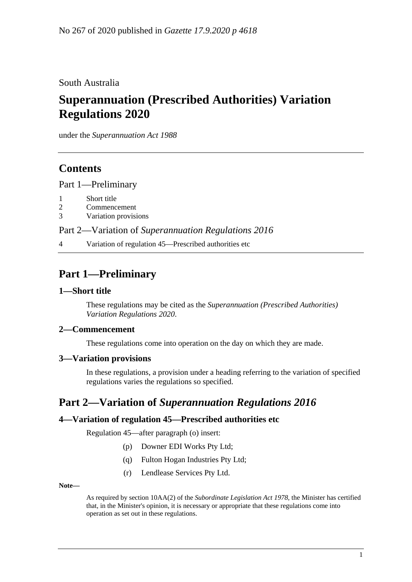South Australia

# **Superannuation (Prescribed Authorities) Variation Regulations 2020**

under the *Superannuation Act 1988*

## **Contents**

Part [1—Preliminary](#page-0-0)

- 1 [Short title](#page-0-1)
- 2 [Commencement](#page-0-2)
- 3 [Variation provisions](#page-0-3)

Part 2—Variation of *[Superannuation Regulations](#page-0-4) 2016*

4 [Variation of regulation 45—Prescribed authorities etc](#page-0-5)

# <span id="page-0-0"></span>**Part 1—Preliminary**

#### <span id="page-0-1"></span>**1—Short title**

These regulations may be cited as the *Superannuation (Prescribed Authorities) Variation Regulations 2020*.

#### <span id="page-0-2"></span>**2—Commencement**

These regulations come into operation on the day on which they are made.

#### <span id="page-0-3"></span>**3—Variation provisions**

In these regulations, a provision under a heading referring to the variation of specified regulations varies the regulations so specified.

### <span id="page-0-4"></span>**Part 2—Variation of** *Superannuation Regulations 2016*

#### <span id="page-0-5"></span>**4—Variation of regulation 45—Prescribed authorities etc**

Regulation 45—after paragraph (o) insert:

- (p) Downer EDI Works Pty Ltd;
- (q) Fulton Hogan Industries Pty Ltd;
- (r) Lendlease Services Pty Ltd.

**Note—**

As required by section 10AA(2) of the *[Subordinate Legislation Act](http://www.legislation.sa.gov.au/index.aspx?action=legref&type=act&legtitle=Subordinate%20Legislation%20Act%201978) 1978*, the Minister has certified that, in the Minister's opinion, it is necessary or appropriate that these regulations come into operation as set out in these regulations.